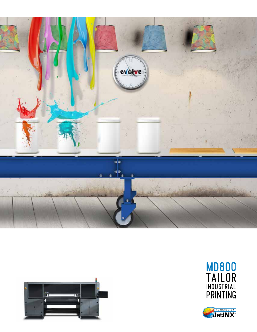





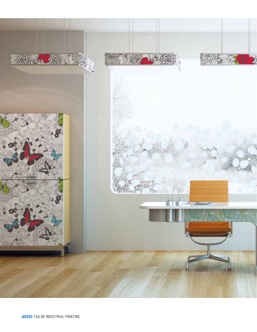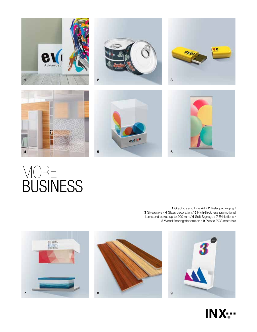

## MORE BUSINESS

1 Graphics and Fine Art / 2 Metal packaging / 3 Giveaways / 4 Glass decoration / 5 High-thickness promotional items and boxes up to 200 mm / 6 Soft Signage / 7 Exhibitions / Wood flooring/decoration / 9 Plastic POS materials







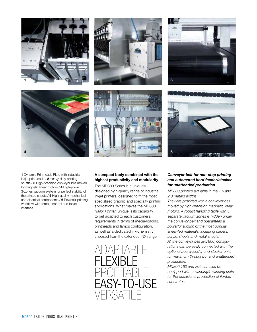











1 Dynamic Printheads Plate with industrial inkjet printheads / 2 Heavy-duty printing shuttle / 3 High-precision conveyor belt moved by magnetic linear motors / 4 High-power 3-zones vacuum system for perfect stability of the printed sheets / 5 High-quality mechanical and electrical components / 6 Powerful printing workflow with remote control and tablet interface

### A compact body combined with the highest productivity and modularity

The MD800 Series is a uniquely designed high-quality range of industrial inkjet printers, designed to fit the most specialized graphic and specialty printing applications. What makes the MD800 *(Tailor Printer)* unique is its capability to get adapted to each customer's requirements in terms of media-loading, printheads and lamps configuration, as well as a dedicated ink-chemistry choosed from the extended INX range.



### *Conveyor belt for non-stop printing and automated bord feeder/stacker for unattended production*

*MD800 printers available in the 1,6 and 2,0 meters widths.*

*They are provided with a conveyor belt moved by high-precision magnetic linear motors. A robust handling table with 3 separate vacuum zones is hidden under the conveyor belt and guarantees a powerful suction of the most popular sheet-fed materials, including papers, acrylic sheets and metal sheets. All the conveyor belt [MD800] configurations can be easily connected with the optional board-feeder and stacker units for maximum throughput and unattended production.*

*MD800 160 and 200 can also be equipped with unwinding/rewinding units for the occasional production of flexible substrates.*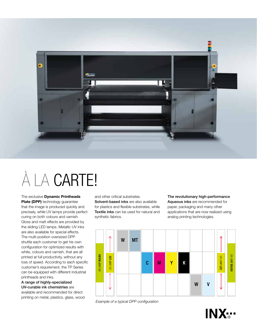

# À LA CARTE!

The exclusive **Dynamic Printheads** Plate (DPP) technology guarantee that the image is produced quickly and precisely, while UV lamps provide perfect curing on both colours and varnish. Gloss and matt effects are provided by the sliding LED lamps. Metallic UV inks are also available for special effects. The multi-position oversized DPP shuttle each customer to get his own configuration for optimized results with white, colours and varnish, that are all printed at full productivity, without any loss of speed. According to each specific customer's requirement, the TP Series can be equipped with different industrial printheads and inks.

A range of highly-specialized UV-curable ink chemistries are available and recommended for direct printing on metal, plastics, glass, wood

and other critical substrates. Solvent-based inks are also available for plastics and flexible substrates, while Textile inks can be used for natural and synthetic fabrics.

The revolutionary high-performance Aqueous inks are recommended for paper, packaging and many other applications that are now realized using analog printing technologies.



*Example of a typical DPP configuration*

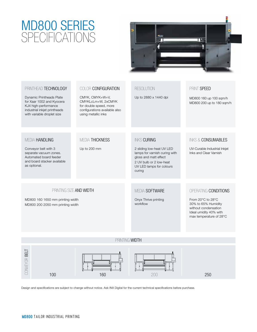### MD800 SERIES SPECIFICATIONS



| PRINTHEAD TECHNOLOGY<br>Dynamic Printheads Plate<br>for Xaar 1002 and Kyocera<br>KJ4 high-performance<br>industrial inkjet printheads<br>with variable droplet size | COLOR CONFIGURATION<br>CMYK, CMYK+W+V,<br>CMYKLcLm+W, 2xCMYK<br>for double speed, more<br>configurations available also<br>using metallic inks | <b>RESOLUTION</b><br>Up to 2880 x 1440 dpi                                                                                                                                 | PRINT SPEED<br>MD800 160 up 100 sqm/h<br>MD800 200 up to 180 sqm/h                                                                            |
|---------------------------------------------------------------------------------------------------------------------------------------------------------------------|------------------------------------------------------------------------------------------------------------------------------------------------|----------------------------------------------------------------------------------------------------------------------------------------------------------------------------|-----------------------------------------------------------------------------------------------------------------------------------------------|
| MEDIA HANDLING<br>Conveyor belt with 3<br>separate vacuum zones.<br>Automated board feeder<br>and board stacker available<br>as optional.                           | MEDIA THICKNESS<br>Up to 200 mm                                                                                                                | <b>INKS CURING</b><br>2 sliding low-heat UV LED<br>lamps for varnish curing with<br>gloss and matt effect<br>2 UV bulb or 2 low-heat<br>UV LED lamps for colours<br>curing | <b>INKS &amp; CONSUMABLES</b><br>UV-Curable Industrial Inkjet<br>Inks and Clear Varnish                                                       |
| PRINTING SIZE AND WIDTH<br>MD800 160 1650 mm printing width<br>MD800 200 2050 mm printing width                                                                     |                                                                                                                                                | MEDIA SOFTWARE<br>Onyx Thrive printing<br>workflow                                                                                                                         | OPERATING CONDITIONS<br>From 20°C to 28°C<br>30% to 65% Humidity<br>without condensation<br>Ideal umidity 40% with<br>max temperature of 28°C |
| PRINTING WIDTH                                                                                                                                                      |                                                                                                                                                |                                                                                                                                                                            |                                                                                                                                               |
| <b>CONVEYOR BELT</b><br>100                                                                                                                                         | 160                                                                                                                                            | 200                                                                                                                                                                        | 250                                                                                                                                           |

Design and specifications are subject to change without notice. Ask INX Digital for the current technical specifications before purchase.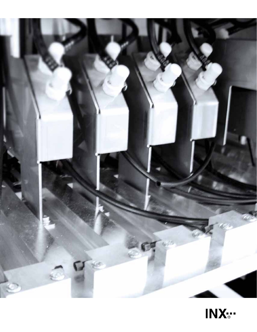